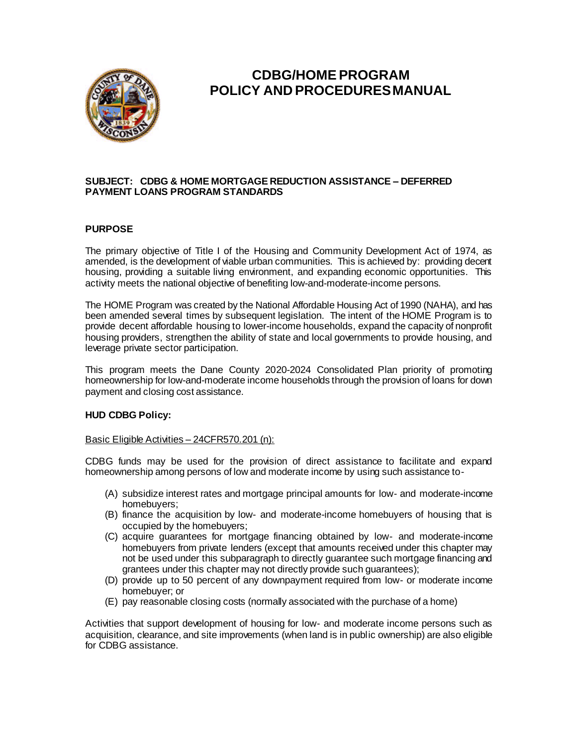

# **CDBG/HOME PROGRAM POLICY AND PROCEDURES MANUAL**

## **SUBJECT: CDBG & HOME MORTGAGE REDUCTION ASSISTANCE – DEFERRED PAYMENT LOANS PROGRAM STANDARDS**

## **PURPOSE**

The primary objective of Title I of the Housing and Community Development Act of 1974, as amended, is the development of viable urban communities. This is achieved by: providing decent housing, providing a suitable living environment, and expanding economic opportunities. This activity meets the national objective of benefiting low-and-moderate-income persons.

The HOME Program was created by the National Affordable Housing Act of 1990 (NAHA), and has been amended several times by subsequent legislation. The intent of the HOME Program is to provide decent affordable housing to lower-income households, expand the capacity of nonprofit housing providers, strengthen the ability of state and local governments to provide housing, and leverage private sector participation.

This program meets the Dane County 2020-2024 Consolidated Plan priority of promoting homeownership for low-and-moderate income households through the provision of loans for down payment and closing cost assistance.

#### **HUD CDBG Policy:**

#### Basic Eligible Activities – 24CFR570.201 (n):

CDBG funds may be used for the provision of direct assistance to facilitate and expand homeownership among persons of low and moderate income by using such assistance to-

- (A) subsidize interest rates and mortgage principal amounts for low- and moderate-income homebuyers;
- (B) finance the acquisition by low- and moderate-income homebuyers of housing that is occupied by the homebuyers;
- (C) acquire guarantees for mortgage financing obtained by low- and moderate-income homebuyers from private lenders (except that amounts received under this chapter may not be used under this subparagraph to directly guarantee such mortgage financing and grantees under this chapter may not directly provide such guarantees);
- (D) provide up to 50 percent of any downpayment required from low- or moderate income homebuyer; or
- (E) pay reasonable closing costs (normally associated with the purchase of a home)

Activities that support development of housing for low- and moderate income persons such as acquisition, clearance, and site improvements (when land is in public ownership) are also eligible for CDBG assistance.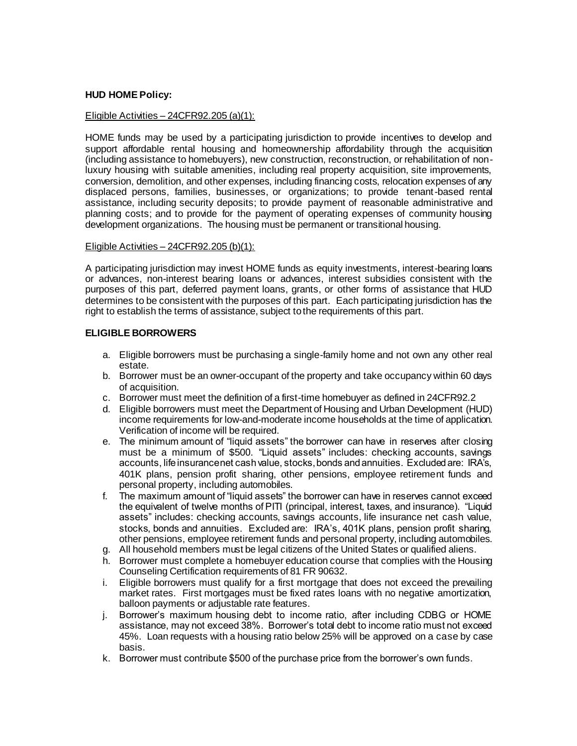## **HUD HOME Policy:**

# Eligible Activities – 24CFR92.205 (a)(1):

HOME funds may be used by a participating jurisdiction to provide incentives to develop and support affordable rental housing and homeownership affordability through the acquisition (including assistance to homebuyers), new construction, reconstruction, or rehabilitation of nonluxury housing with suitable amenities, including real property acquisition, site improvements, conversion, demolition, and other expenses, including financing costs, relocation expenses of any displaced persons, families, businesses, or organizations; to provide tenant-based rental assistance, including security deposits; to provide payment of reasonable administrative and planning costs; and to provide for the payment of operating expenses of community housing development organizations. The housing must be permanent or transitional housing.

#### Eligible Activities – 24CFR92.205 (b)(1):

A participating jurisdiction may invest HOME funds as equity investments, interest-bearing loans or advances, non-interest bearing loans or advances, interest subsidies consistent with the purposes of this part, deferred payment loans, grants, or other forms of assistance that HUD determines to be consistent with the purposes of this part. Each participating jurisdiction has the right to establish the terms of assistance, subject to the requirements of this part.

#### **ELIGIBLE BORROWERS**

- a. Eligible borrowers must be purchasing a single-family home and not own any other real estate.
- b. Borrower must be an owner-occupant of the property and take occupancy within 60 days of acquisition.
- c. Borrower must meet the definition of a first-time homebuyer as defined in 24CFR92.2
- d. Eligible borrowers must meet the Department of Housing and Urban Development (HUD) income requirements for low-and-moderate income households at the time of application. Verification of income will be required.
- e. The minimum amount of "liquid assets" the borrower can have in reserves after closing must be a minimum of \$500. "Liquid assets" includes: checking accounts, savings accounts, life insurance net cash value, stocks, bonds and annuities. Excluded are: IRA's, 401K plans, pension profit sharing, other pensions, employee retirement funds and personal property, including automobiles.
- f. The maximum amount of "liquid assets" the borrower can have in reserves cannot exceed the equivalent of twelve months of PITI (principal, interest, taxes, and insurance). "Liquid assets" includes: checking accounts, savings accounts, life insurance net cash value, stocks, bonds and annuities. Excluded are: IRA's, 401K plans, pension profit sharing, other pensions, employee retirement funds and personal property, including automobiles.
- g. All household members must be legal citizens of the United States or qualified aliens.
- h. Borrower must complete a homebuyer education course that complies with the Housing Counseling Certification requirements of 81 FR 90632.
- i. Eligible borrowers must qualify for a first mortgage that does not exceed the prevailing market rates. First mortgages must be fixed rates loans with no negative amortization, balloon payments or adjustable rate features.
- j. Borrower's maximum housing debt to income ratio, after including CDBG or HOME assistance, may not exceed 38%. Borrower's total debt to income ratio must not exceed 45%. Loan requests with a housing ratio below 25% will be approved on a case by case basis.
- k. Borrower must contribute \$500 of the purchase price from the borrower's own funds.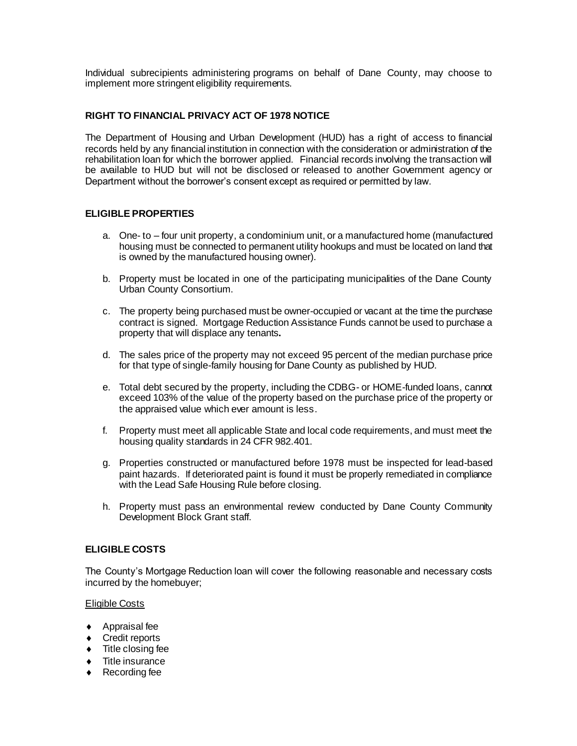Individual subrecipients administering programs on behalf of Dane County, may choose to implement more stringent eligibility requirements.

# **RIGHT TO FINANCIAL PRIVACY ACT OF 1978 NOTICE**

The Department of Housing and Urban Development (HUD) has a right of access to financial records held by any financial institution in connection with the consideration or administration of the rehabilitation loan for which the borrower applied. Financial records involving the transaction will be available to HUD but will not be disclosed or released to another Government agency or Department without the borrower's consent except as required or permitted by law.

# **ELIGIBLE PROPERTIES**

- a. One- to four unit property, a condominium unit, or a manufactured home (manufactured housing must be connected to permanent utility hookups and must be located on land that is owned by the manufactured housing owner).
- b. Property must be located in one of the participating municipalities of the Dane County Urban County Consortium.
- c. The property being purchased must be owner-occupied or vacant at the time the purchase contract is signed. Mortgage Reduction Assistance Funds cannot be used to purchase a property that will displace any tenants**.**
- d. The sales price of the property may not exceed 95 percent of the median purchase price for that type of single-family housing for Dane County as published by HUD.
- e. Total debt secured by the property, including the CDBG- or HOME-funded loans, cannot exceed 103% of the value of the property based on the purchase price of the property or the appraised value which ever amount is less.
- f. Property must meet all applicable State and local code requirements, and must meet the housing quality standards in 24 CFR 982.401.
- g. Properties constructed or manufactured before 1978 must be inspected for lead-based paint hazards. If deteriorated paint is found it must be properly remediated in compliance with the Lead Safe Housing Rule before closing.
- h. Property must pass an environmental review conducted by Dane County Community Development Block Grant staff.

# **ELIGIBLE COSTS**

The County's Mortgage Reduction loan will cover the following reasonable and necessary costs incurred by the homebuyer;

#### Eligible Costs

- ◆ Appraisal fee
- ◆ Credit reports
- $\bullet$  Title closing fee
- Title insurance
- ◆ Recording fee